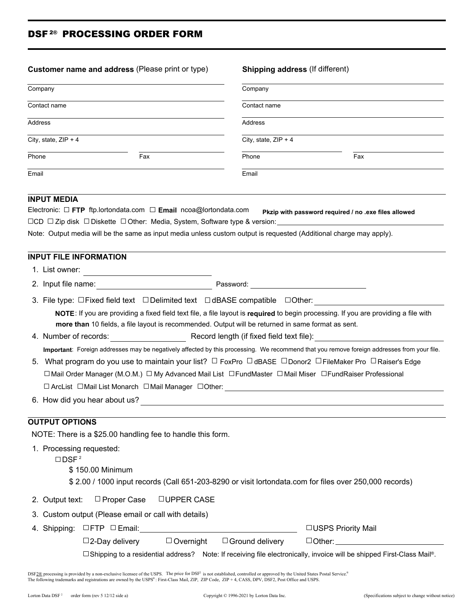## DSF<sup>2®</sup> PROCESSING ORDER FORM

| Customer name and address (Please print or type)<br>Company<br>Contact name |                                                                                                                                                                                                                                                                                                                                                                                                                                                                                                                                                                                                                                                                                    | <b>Shipping address (If different)</b><br>Company<br>Contact name |                                                      |  |                      |                        |  |
|-----------------------------------------------------------------------------|------------------------------------------------------------------------------------------------------------------------------------------------------------------------------------------------------------------------------------------------------------------------------------------------------------------------------------------------------------------------------------------------------------------------------------------------------------------------------------------------------------------------------------------------------------------------------------------------------------------------------------------------------------------------------------|-------------------------------------------------------------------|------------------------------------------------------|--|----------------------|------------------------|--|
|                                                                             |                                                                                                                                                                                                                                                                                                                                                                                                                                                                                                                                                                                                                                                                                    |                                                                   |                                                      |  | Address              | <b>Address</b>         |  |
|                                                                             |                                                                                                                                                                                                                                                                                                                                                                                                                                                                                                                                                                                                                                                                                    |                                                                   |                                                      |  | City, state, ZIP + 4 | City, state, $ZIP + 4$ |  |
| Phone                                                                       | Fax                                                                                                                                                                                                                                                                                                                                                                                                                                                                                                                                                                                                                                                                                | Phone                                                             | Fax                                                  |  |                      |                        |  |
| Email                                                                       |                                                                                                                                                                                                                                                                                                                                                                                                                                                                                                                                                                                                                                                                                    | Email                                                             |                                                      |  |                      |                        |  |
|                                                                             | <b>INPUT MEDIA</b><br>Electronic: $\Box$ FTP ftp.lortondata.com $\Box$ Email ncoa@lortondata.com<br>$\Box$ CD $\Box$ Zip disk $\Box$ Diskette $\ \Box$ Other: Media, System, Software type & version:_________________________<br>Note: Output media will be the same as input media unless custom output is requested (Additional charge may apply).                                                                                                                                                                                                                                                                                                                              |                                                                   | Pkzip with password required / no .exe files allowed |  |                      |                        |  |
|                                                                             | <b>INPUT FILE INFORMATION</b>                                                                                                                                                                                                                                                                                                                                                                                                                                                                                                                                                                                                                                                      |                                                                   |                                                      |  |                      |                        |  |
|                                                                             | 1. List owner:<br><u> 1980 - Andrea Station Barbara (b. 1980)</u>                                                                                                                                                                                                                                                                                                                                                                                                                                                                                                                                                                                                                  |                                                                   |                                                      |  |                      |                        |  |
|                                                                             |                                                                                                                                                                                                                                                                                                                                                                                                                                                                                                                                                                                                                                                                                    |                                                                   |                                                      |  |                      |                        |  |
|                                                                             | 3. File type: $\Box$ Fixed field text $\Box$ Delimited text $\Box$ dBASE compatible $\Box$ Other:<br>NOTE: If you are providing a fixed field text file, a file layout is required to begin processing. If you are providing a file with<br>more than 10 fields, a file layout is recommended. Output will be returned in same format as sent.<br>4. Number of records: The Record length (if fixed field text file):<br>Important: Foreign addresses may be negatively affected by this processing. We recommend that you remove foreign addresses from your file.<br>5. What program do you use to maintain your list? □ FoxPro □ dBASE □ Donor2 □ FileMaker Pro □ Raiser's Edge |                                                                   |                                                      |  |                      |                        |  |
|                                                                             | □ Mail Order Manager (M.O.M.) □ My Advanced Mail List □ FundMaster □ Mail Miser □ FundRaiser Professional<br>□ ArcList □Mail List Monarch □Mail Manager □Other: _____________________________                                                                                                                                                                                                                                                                                                                                                                                                                                                                                      |                                                                   |                                                      |  |                      |                        |  |
|                                                                             | 6. How did you hear about us?                                                                                                                                                                                                                                                                                                                                                                                                                                                                                                                                                                                                                                                      |                                                                   |                                                      |  |                      |                        |  |
|                                                                             | <b>OUTPUT OPTIONS</b>                                                                                                                                                                                                                                                                                                                                                                                                                                                                                                                                                                                                                                                              |                                                                   |                                                      |  |                      |                        |  |
|                                                                             | NOTE: There is a \$25.00 handling fee to handle this form.                                                                                                                                                                                                                                                                                                                                                                                                                                                                                                                                                                                                                         |                                                                   |                                                      |  |                      |                        |  |
|                                                                             | 1. Processing requested:<br>$\Box$ DSF <sup>2</sup><br>\$150.00 Minimum<br>\$2.00 / 1000 input records (Call 651-203-8290 or visit lortondata.com for files over 250,000 records)                                                                                                                                                                                                                                                                                                                                                                                                                                                                                                  |                                                                   |                                                      |  |                      |                        |  |
|                                                                             | □ Proper Case<br>2. Output text:<br>□ UPPER CASE                                                                                                                                                                                                                                                                                                                                                                                                                                                                                                                                                                                                                                   |                                                                   |                                                      |  |                      |                        |  |
|                                                                             | 3. Custom output (Please email or call with details)                                                                                                                                                                                                                                                                                                                                                                                                                                                                                                                                                                                                                               |                                                                   |                                                      |  |                      |                        |  |
|                                                                             | $\Box$ Overnight<br>$\square$ 2-Day delivery                                                                                                                                                                                                                                                                                                                                                                                                                                                                                                                                                                                                                                       | $\Box$ Ground delivery                                            | □USPS Priority Mail                                  |  |                      |                        |  |
|                                                                             | □ Shipping to a residential address? Note: If receiving file electronically, invoice will be shipped First-Class Mail®.                                                                                                                                                                                                                                                                                                                                                                                                                                                                                                                                                            |                                                                   |                                                      |  |                      |                        |  |

DSF2® processing is provided by a non-exclusive licensee of the USPS. The price for DSF<sup>2</sup> is not established, controlled or approved by the United States Postal Service.\*<br>The following trademarks and registrations are own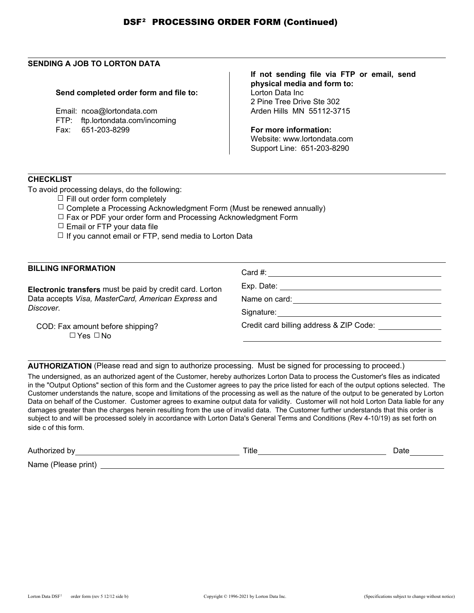## **SENDING A JOB TO LORTON DATA**

## **Send completed order form and file to:**

Email: ncoa@lortondata.com FTP: ftp.lortondata.com/incoming Fax: 651-203-8299

**If not sending file via FTP or email, send physical media and form to:** Lorton Data Inc 2 Pine Tree Drive Ste 302 Arden Hills MN 55112-3715

**For more information:** Website: www.lortondata.com Support Line: 651-203-8290

## **CHECKLIST**

To avoid processing delays, do the following:

- $\Box$  Fill out order form completely
- $\Box$  Complete a Processing Acknowledgment Form (Must be renewed annually)
- $\Box$  Fax or PDF your order form and Processing Acknowledgment Form
- $\Box$  Email or FTP your data file
- $\Box$  If you cannot email or FTP, send media to Lorton Data

| <b>BILLING INFORMATION</b>                               | Card #:                                 |  |
|----------------------------------------------------------|-----------------------------------------|--|
| Electronic transfers must be paid by credit card. Lorton | Exp. Date:                              |  |
| Data accepts Visa, MasterCard, American Express and      | Name on card:                           |  |
| Discover.                                                | Signature:                              |  |
| COD: Fax amount before shipping?<br>$\Box$ Yes $\Box$ No | Credit card billing address & ZIP Code: |  |

**AUTHORIZATION** (Please read and sign to authorize processing. Must be signed for processing to proceed.)

The undersigned, as an authorized agent of the Customer, hereby authorizes Lorton Data to process the Customer's files as indicated in the "Output Options" section of this form and the Customer agrees to pay the price listed for each of the output options selected. The Customer understands the nature, scope and limitations of the processing as well as the nature of the output to be generated by Lorton Data on behalf of the Customer. Customer agrees to examine output data for validity. Customer will not hold Lorton Data liable for any damages greater than the charges herein resulting from the use of invalid data. The Customer further understands that this order is subject to and will be processed solely in accordance with Lorton Data's General Terms and Conditions (Rev 4-10/19) as set forth on side c of this form.

Authorized by Title Date Name (Please print)